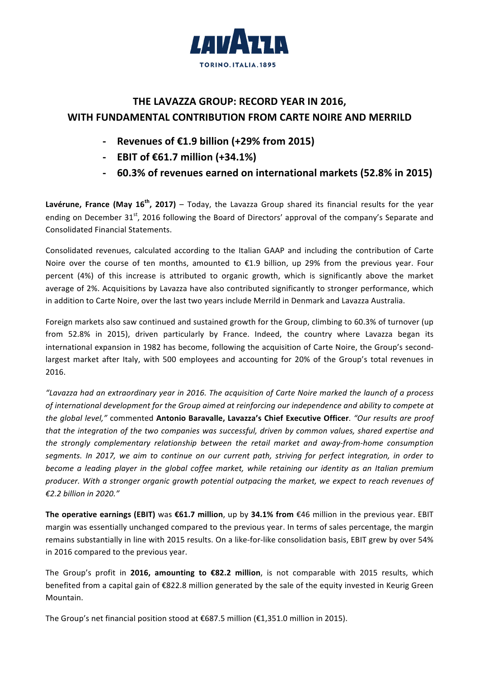

## **THE LAVAZZA GROUP: RECORD YEAR IN 2016, WITH FUNDAMENTAL CONTRIBUTION FROM CARTE NOIRE AND MERRILD**

- **- Revenues of €1.9 billion (+29% from 2015)**
- **- EBIT** of €61.7 million (+34.1%)
- **- 60.3% of revenues earned on international markets (52.8% in 2015)**

**Lavérune, France (May 16<sup>th</sup>, 2017)** – Today, the Lavazza Group shared its financial results for the year ending on December 31<sup>st</sup>, 2016 following the Board of Directors' approval of the company's Separate and Consolidated Financial Statements. 

Consolidated revenues, calculated according to the Italian GAAP and including the contribution of Carte Noire over the course of ten months, amounted to  $E1.9$  billion, up 29% from the previous year. Four percent (4%) of this increase is attributed to organic growth, which is significantly above the market average of 2%. Acquisitions by Lavazza have also contributed significantly to stronger performance, which in addition to Carte Noire, over the last two years include Merrild in Denmark and Lavazza Australia.

Foreign markets also saw continued and sustained growth for the Group, climbing to 60.3% of turnover (up from 52.8% in 2015), driven particularly by France. Indeed, the country where Lavazza began its international expansion in 1982 has become, following the acquisition of Carte Noire, the Group's secondlargest market after Italy, with 500 employees and accounting for 20% of the Group's total revenues in 2016. 

*"Lavazza had an extraordinary year in 2016. The acquisition of Carte Noire marked the launch of a process*  of international development for the Group aimed at reinforcing our independence and ability to compete at *the alobal level,"* commented Antonio Baravalle, Lavazza's Chief Executive Officer. "Our results are proof *that* the integration of the two companies was successful, driven by common values, shared expertise and *the strongly complementary relationship between the retail market and away-from-home consumption segments. In 2017, we aim to continue on our current path, striving for perfect integration, in order to become a leading player in the global coffee market, while retaining our identity as an Italian premium* producer. With a stronger organic growth potential outpacing the market, we expect to reach revenues of *€2.2 billion in 2020."*

The operative earnings (EBIT) was €61.7 million, up by 34.1% from €46 million in the previous year. EBIT margin was essentially unchanged compared to the previous year. In terms of sales percentage, the margin remains substantially in line with 2015 results. On a like-for-like consolidation basis, EBIT grew by over 54% in 2016 compared to the previous year.

The Group's profit in **2016, amounting to €82.2 million**, is not comparable with 2015 results, which benefited from a capital gain of €822.8 million generated by the sale of the equity invested in Keurig Green Mountain. 

The Group's net financial position stood at  $\epsilon$ 687.5 million ( $\epsilon$ 1,351.0 million in 2015).